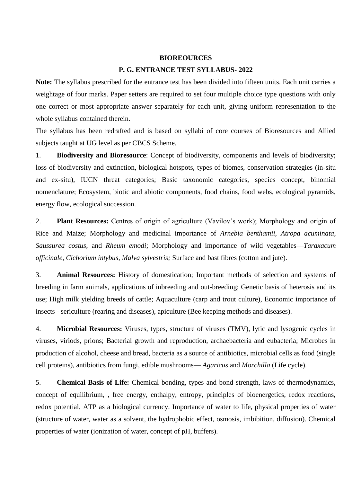## **BIOREOURCES**

## **P. G. ENTRANCE TEST SYLLABUS- 2022**

**Note:** The syllabus prescribed for the entrance test has been divided into fifteen units. Each unit carries a weightage of four marks. Paper setters are required to set four multiple choice type questions with only one correct or most appropriate answer separately for each unit, giving uniform representation to the whole syllabus contained therein.

The syllabus has been redrafted and is based on syllabi of core courses of Bioresources and Allied subjects taught at UG level as per CBCS Scheme.

1. **Biodiversity and Bioresource**: Concept of biodiversity, components and levels of biodiversity; loss of biodiversity and extinction, biological hotspots, types of biomes, conservation strategies (in-situ and ex-situ), IUCN threat categories; Basic taxonomic categories, species concept, binomial nomenclature; Ecosystem, biotic and abiotic components, food chains, food webs, ecological pyramids, energy flow, ecological succession.

2. **Plant Resources:** Centres of origin of agriculture (Vavilov's work); Morphology and origin of Rice and Maize; Morphology and medicinal importance of *Arnebia benthamii, Atropa acuminata*, *Saussurea costus*, and *Rheum emodi*; Morphology and importance of wild vegetables—*Taraxacum officinale, Cichorium intybus, Malva sylvestris;* Surface and bast fibres (cotton and jute).

3. **Animal Resources:** History of domestication; Important methods of selection and systems of breeding in farm animals, applications of inbreeding and out-breeding; Genetic basis of heterosis and its use; High milk yielding breeds of cattle; Aquaculture (carp and trout culture), Economic importance of insects - sericulture (rearing and diseases), apiculture (Bee keeping methods and diseases).

4. **Microbial Resources:** Viruses, types, structure of viruses (TMV), lytic and lysogenic cycles in viruses, viriods, prions; Bacterial growth and reproduction, archaebacteria and eubacteria; Microbes in production of alcohol, cheese and bread, bacteria as a source of antibiotics, microbial cells as food (single cell proteins), antibiotics from fungi, edible mushrooms— *Agaricus* and *Morchilla* (Life cycle).

5. **Chemical Basis of Life:** Chemical bonding, types and bond strength, laws of thermodynamics, concept of equilibrium, , free energy, enthalpy, entropy, principles of bioenergetics, redox reactions, redox potential, ATP as a biological currency. Importance of water to life, physical properties of water (structure of water, water as a solvent, the hydrophobic effect, osmosis, imbibition, diffusion). Chemical properties of water (ionization of water, concept of pH, buffers).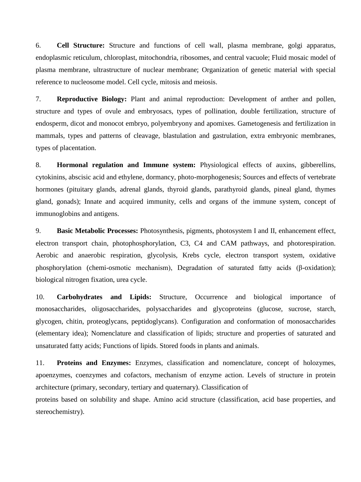6. **Cell Structure:** Structure and functions of cell wall, plasma membrane, golgi apparatus, endoplasmic reticulum, chloroplast, mitochondria, ribosomes, and central vacuole; Fluid mosaic model of plasma membrane, ultrastructure of nuclear membrane; Organization of genetic material with special reference to nucleosome model. Cell cycle, mitosis and meiosis.

7. **Reproductive Biology:** Plant and animal reproduction: Development of anther and pollen, structure and types of ovule and embryosacs, types of pollination, double fertilization, structure of endosperm, dicot and monocot embryo, polyembryony and apomixes. Gametogenesis and fertilization in mammals, types and patterns of cleavage, blastulation and gastrulation, extra embryonic membranes, types of placentation.

8. **Hormonal regulation and Immune system:** Physiological effects of auxins, gibberellins, cytokinins, abscisic acid and ethylene, dormancy, photo-morphogenesis; Sources and effects of vertebrate hormones (pituitary glands, adrenal glands, thyroid glands, parathyroid glands, pineal gland, thymes gland, gonads); Innate and acquired immunity, cells and organs of the immune system, concept of immunoglobins and antigens.

9. **Basic Metabolic Processes:** Photosynthesis, pigments, photosystem I and II, enhancement effect, electron transport chain, photophosphorylation, C3, C4 and CAM pathways, and photorespiration. Aerobic and anaerobic respiration, glycolysis, Krebs cycle, electron transport system, oxidative phosphorylation (chemi-osmotic mechanism), Degradation of saturated fatty acids (β-oxidation); biological nitrogen fixation, urea cycle.

10. **Carbohydrates and Lipids:** Structure, Occurrence and biological importance of monosaccharides, oligosaccharides, polysaccharides and glycoproteins (glucose, sucrose, starch, glycogen, chitin, proteoglycans, peptidoglycans). Configuration and conformation of monosaccharides (elementary idea); Nomenclature and classification of lipids; structure and properties of saturated and unsaturated fatty acids; Functions of lipids. Stored foods in plants and animals.

11. **Proteins and Enzymes:** Enzymes, classification and nomenclature, concept of holozymes, apoenzymes, coenzymes and cofactors, mechanism of enzyme action. Levels of structure in protein architecture (primary, secondary, tertiary and quaternary). Classification of

proteins based on solubility and shape. Amino acid structure (classification, acid base properties, and stereochemistry).